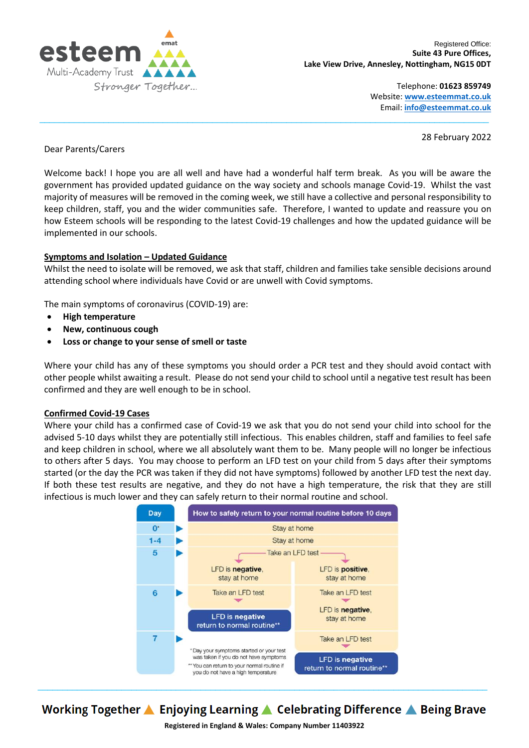

Telephone: **01623 859749** Website: **[www.esteemmat.co.uk](http://www.esteemmat.co.uk/)** Email: **[info@esteemmat.co.uk](mailto:info@esteemmat.co.uk)**

28 February 2022

# Dear Parents/Carers

Welcome back! I hope you are all well and have had a wonderful half term break. As you will be aware the government has provided updated guidance on the way society and schools manage Covid-19. Whilst the vast majority of measures will be removed in the coming week, we still have a collective and personal responsibility to keep children, staff, you and the wider communities safe. Therefore, I wanted to update and reassure you on how Esteem schools will be responding to the latest Covid-19 challenges and how the updated guidance will be implemented in our schools.

 $\_$  , and the state of the state of the state of the state of the state of the state of the state of the state of the state of the state of the state of the state of the state of the state of the state of the state of the

# **Symptoms and Isolation – Updated Guidance**

Whilst the need to isolate will be removed, we ask that staff, children and families take sensible decisions around attending school where individuals have Covid or are unwell with Covid symptoms.

The main symptoms of coronavirus (COVID-19) are:

- **High temperature**
- **New, continuous cough**
- **Loss or change to your sense of smell or taste**

Where your child has any of these symptoms you should order a PCR test and they should avoid contact with other people whilst awaiting a result. Please do not send your child to school until a negative test result has been confirmed and they are well enough to be in school.

#### **Confirmed Covid-19 Cases**

Where your child has a confirmed case of Covid-19 we ask that you do not send your child into school for the advised 5-10 days whilst they are potentially still infectious. This enables children, staff and families to feel safe and keep children in school, where we all absolutely want them to be. Many people will no longer be infectious to others after 5 days. You may choose to perform an LFD test on your child from 5 days after their symptoms started (or the day the PCR was taken if they did not have symptoms) followed by another LFD test the next day. If both these test results are negative, and they do not have a high temperature, the risk that they are still infectious is much lower and they can safely return to their normal routine and school.



Working Together ▲ Enjoying Learning ▲ Celebrating Difference ▲ Being Brave